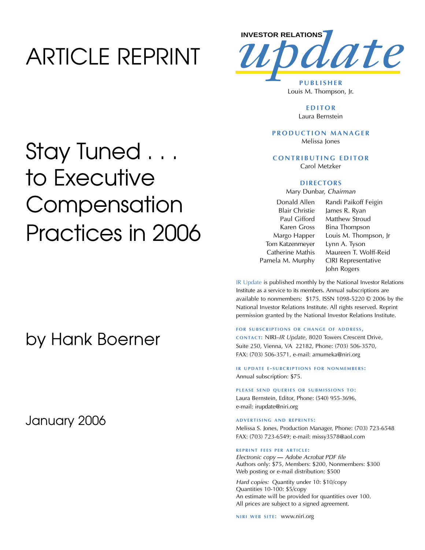## ARTICLE REPRINT



Louis M. Thompson, Jr.

**EDITOR** Laura Bernstein

### **PRODUCTION MANAGER** Melissa Jones

**CONTRIBUTING EDITOR** Carol Metzker

### **DIRECTORS**

Mary Dunbar, *Chairman*

Donald Allen Blair Christie Paul Gifford Karen Gross Margo Happer Tom Katzenmeyer Catherine Mathis Pamela M. Murphy

Randi Paikoff Feigin James R. Ryan Matthew Stroud Bina Thompson Louis M. Thompson, Jr Lynn A. Tyson Maureen T. Wolff-Reid CIRI Representative John Rogers

IR Update is published monthly by the National Investor Relations Institute as a service to its members. Annual subscriptions are available to nonmembers: \$175. ISSN 1098-5220 © 2006 by the National Investor Relations Institute. All rights reserved. Reprint permission granted by the National Investor Relations Institute.

#### **FOR SUBSCRIPTIONS OR CHANGE OF ADDRESS,**

**CONTACT:** NIRI–*IR Update*, 8020 Towers Crescent Drive, Suite 250, Vienna, VA 22182, Phone: (703) 506-3570, FAX: (703) 506-3571, e-mail: amumeka@niri.org

**IR UPDATE E-SUBCRIPTIONS FOR NONMEMBERS:** Annual subscription: \$75.

PLEASE SEND QUERIES OR SUBMISSIONS TO: Laura Bernstein, Editor, Phone: (540) 955-3696, e-mail: irupdate@niri.org

### **ADVERTISING AND REPRINTS :**

Melissa S. Jones, Production Manager, Phone: (703) 723-6548 FAX: (703) 723-6549; e-mail: missy3578@aol.com

#### **REPRINT FEES PER ARTICLE :**

*Electronic copy* **—** *Adobe Acrobat PDF file*  Authors only: \$75, Members: \$200, Nonmembers: \$300 Web posting or e-mail distribution: \$500

*Hard copies:* Quantity under 10: \$10/copy Quantities 10-100: \$5/copy An estimate will be provided for quantities over 100. All prices are subject to a signed agreement.

**NIRI WEB SITE: WWW.niri.org** 

## Stay Tuned . . . to Executive **Compensation** Practices in 2006

### by Hank Boerner

January 2006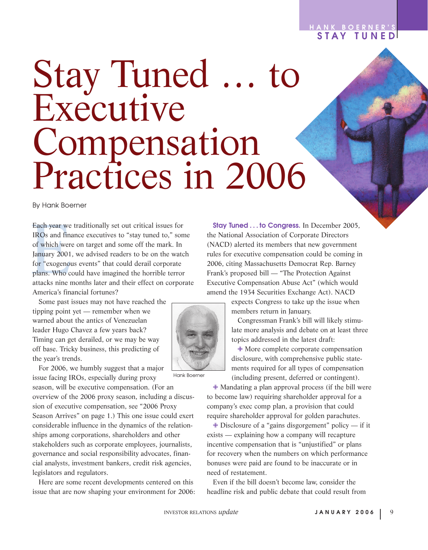### **HANK BOERNER'S STAY TUNED**

# Stay Tuned … to Executive Compensation Practices in 2006

By Hank Boerner

Each year we<br>IROs and fina<br>of which were<br>January 2001,<br>for "exogenou<br>plans. Who co<br>attacks nine n Each year we traditionally set out critical issues for IROs and finance executives to "stay tuned to," some of which were on target and some off the mark. In January 2001, we advised readers to be on the watch for "exogenous events" that could derail corporate plans. Who could have imagined the horrible terror attacks nine months later and their effect on corporate America's financial fortunes?

Some past issues may not have reached the tipping point yet — remember when we warned about the antics of Venezuelan leader Hugo Chavez a few years back? Timing can get derailed, or we may be way off base. Tricky business, this predicting of the year's trends.

For 2006, we humbly suggest that a major issue facing IROs, especially during proxy

season, will be executive compensation. (For an overview of the 2006 proxy season, including a discussion of executive compensation, see "2006 Proxy Season Arrives" on page 1.) This one issue could exert considerable influence in the dynamics of the relationships among corporations, shareholders and other stakeholders such as corporate employees, journalists, governance and social responsibility advocates, financial analysts, investment bankers, credit risk agencies, legislators and regulators.

Here are some recent developments centered on this issue that are now shaping your environment for 2006:

**Stay Tuned . . . to Congress.** In December 2005, the National Association of Corporate Directors (NACD) alerted its members that new government rules for executive compensation could be coming in 2006, citing Massachusetts Democrat Rep. Barney Frank's proposed bill — "The Protection Against Executive Compensation Abuse Act" (which would amend the 1934 Securities Exchange Act). NACD

> expects Congress to take up the issue when members return in January.

Congressman Frank's bill will likely stimulate more analysis and debate on at least three topics addressed in the latest draft:

✙ More complete corporate compensation disclosure, with comprehensive public statements required for all types of compensation (including present, deferred or contingent).

✙ Mandating a plan approval process (if the bill were to become law) requiring shareholder approval for a company's exec comp plan, a provision that could require shareholder approval for golden parachutes.

 $\triangleq$  Disclosure of a "gains disgorgement" policy — if it exists — explaining how a company will recapture incentive compensation that is "unjustified" or plans for recovery when the numbers on which performance bonuses were paid are found to be inaccurate or in need of restatement.

Even if the bill doesn't become law, consider the headline risk and public debate that could result from

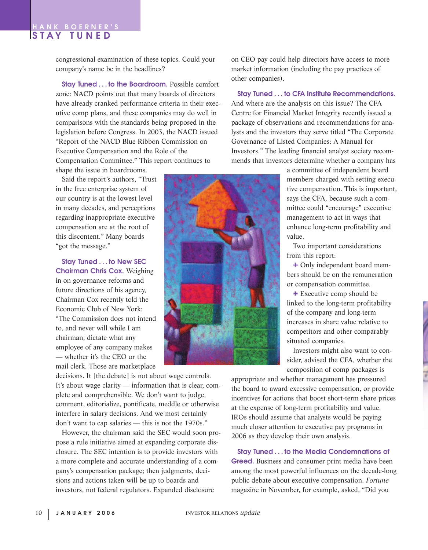### **HANK BOERNER'S STAY TUNED**

congressional examination of these topics. Could your company's name be in the headlines?

**Stay Tuned . . . to the Boardroom.** Possible comfort zone: NACD points out that many boards of directors have already cranked performance criteria in their executive comp plans, and these companies may do well in comparisons with the standards being proposed in the legislation before Congress. In 2003, the NACD issued "Report of the NACD Blue Ribbon Commission on Executive Compensation and the Role of the Compensation Committee." This report continues to shape the issue in boardrooms.

Said the report's authors, "Trust in the free enterprise system of our country is at the lowest level in many decades, and perceptions regarding inappropriate executive compensation are at the root of this discontent." Many boards "got the message."

**Stay Tuned . . . to New SEC Chairman Chris Cox.** Weighing in on governance reforms and future directions of his agency, Chairman Cox recently told the Economic Club of New York: "The Commission does not intend to, and never will while I am chairman, dictate what any employee of any company makes — whether it's the CEO or the mail clerk. Those are marketplace

decisions. It [the debate] is not about wage controls. It's about wage clarity — information that is clear, complete and comprehensible. We don't want to judge, comment, editorialize, pontificate, meddle or otherwise interfere in salary decisions. And we most certainly don't want to cap salaries — this is not the 1970s."

However, the chairman said the SEC would soon propose a rule initiative aimed at expanding corporate disclosure. The SEC intention is to provide investors with a more complete and accurate understanding of a company's compensation package; then judgments, decisions and actions taken will be up to boards and investors, not federal regulators. Expanded disclosure

on CEO pay could help directors have access to more market information (including the pay practices of other companies).

**Stay Tuned . . . to CFA Institute Recommendations.** And where are the analysts on this issue? The CFA Centre for Financial Market Integrity recently issued a package of observations and recommendations for analysts and the investors they serve titled "The Corporate Governance of Listed Companies: A Manual for Investors." The leading financial analyst society recommends that investors determine whether a company has

> a committee of independent board members charged with setting executive compensation. This is important, says the CFA, because such a committee could "encourage" executive management to act in ways that enhance long-term profitability and value.

Two important considerations from this report:

✙ Only independent board members should be on the remuneration or compensation committee.

✙ Executive comp should be linked to the long-term profitability of the company and long-term increases in share value relative to competitors and other comparably situated companies.

Investors might also want to consider, advised the CFA, whether the composition of comp packages is

appropriate and whether management has pressured the board to award excessive compensation, or provide incentives for actions that boost short-term share prices at the expense of long-term profitability and value. IROs should assume that analysts would be paying much closer attention to executive pay programs in 2006 as they develop their own analysis.

**Stay Tuned . . . to the Media Condemnations of Greed.** Business and consumer print media have been among the most powerful influences on the decade-long public debate about executive compensation. *Fortune* magazine in November, for example, asked, "Did you